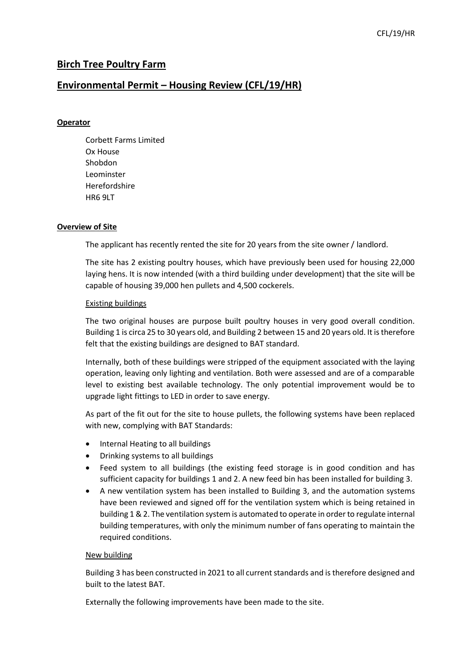## **Birch Tree Poultry Farm**

### **Environmental Permit – Housing Review (CFL/19/HR)**

#### **Operator**

Corbett Farms Limited Ox House Shobdon Leominster Herefordshire HR6 9LT

#### **Overview of Site**

The applicant has recently rented the site for 20 years from the site owner / landlord.

The site has 2 existing poultry houses, which have previously been used for housing 22,000 laying hens. It is now intended (with a third building under development) that the site will be capable of housing 39,000 hen pullets and 4,500 cockerels.

#### Existing buildings

The two original houses are purpose built poultry houses in very good overall condition. Building 1 is circa 25 to 30 years old, and Building 2 between 15 and 20 years old. It is therefore felt that the existing buildings are designed to BAT standard.

Internally, both of these buildings were stripped of the equipment associated with the laying operation, leaving only lighting and ventilation. Both were assessed and are of a comparable level to existing best available technology. The only potential improvement would be to upgrade light fittings to LED in order to save energy.

As part of the fit out for the site to house pullets, the following systems have been replaced with new, complying with BAT Standards:

- Internal Heating to all buildings
- Drinking systems to all buildings
- Feed system to all buildings (the existing feed storage is in good condition and has sufficient capacity for buildings 1 and 2. A new feed bin has been installed for building 3.
- A new ventilation system has been installed to Building 3, and the automation systems have been reviewed and signed off for the ventilation system which is being retained in building 1 & 2. The ventilation system is automated to operate in order to regulate internal building temperatures, with only the minimum number of fans operating to maintain the required conditions.

#### New building

Building 3 has been constructed in 2021 to all current standards and is therefore designed and built to the latest BAT.

Externally the following improvements have been made to the site.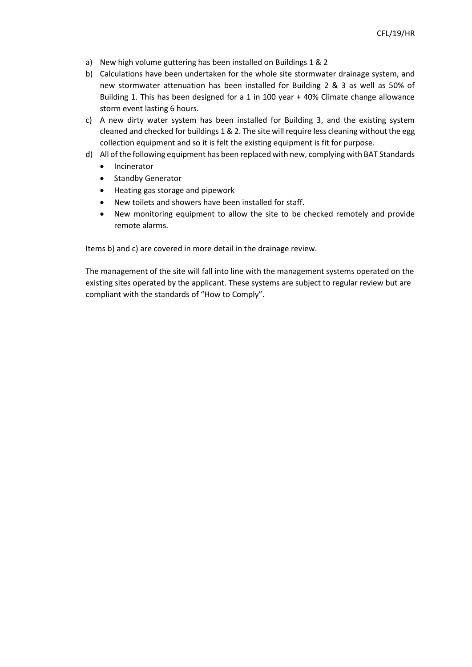- a) New high volume guttering has been installed on Buildings 1 & 2
- b) Calculations have been undertaken for the whole site stormwater drainage system, and new stormwater attenuation has been installed for Building 2 & 3 as well as 50% of Building 1. This has been designed for a 1 in 100 year + 40% Climate change allowance storm event lasting 6 hours.
- c) A new dirty water system has been installed for Building 3, and the existing system cleaned and checked for buildings 1 & 2. The site will require less cleaning without the egg collection equipment and so it is felt the existing equipment is fit for purpose.
- d) All of the following equipment has been replaced with new, complying with BAT Standards
	- Incinerator
	- Standby Generator
	- Heating gas storage and pipework
	- New toilets and showers have been installed for staff.
	- New monitoring equipment to allow the site to be checked remotely and provide remote alarms.

Items b) and c) are covered in more detail in the drainage review.

The management of the site will fall into line with the management systems operated on the existing sites operated by the applicant. These systems are subject to regular review but are compliant with the standards of "How to Comply".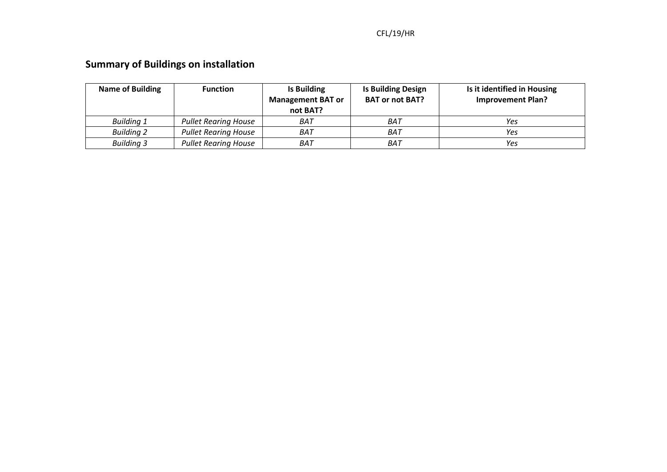## CFL/19/HR

# **Summary of Buildings on installation**

| <b>Name of Building</b> | <b>Function</b>             | Is Building<br><b>Management BAT or</b><br>not BAT? | <b>Is Building Design</b><br><b>BAT or not BAT?</b> | Is it identified in Housing<br><b>Improvement Plan?</b> |
|-------------------------|-----------------------------|-----------------------------------------------------|-----------------------------------------------------|---------------------------------------------------------|
| <b>Building 1</b>       | <b>Pullet Rearing House</b> | BAT                                                 | BAT                                                 | Yes                                                     |
| <b>Building 2</b>       | <b>Pullet Rearing House</b> | BAT                                                 | BAT                                                 | Yes                                                     |
| <b>Building 3</b>       | <b>Pullet Rearing House</b> | BAT                                                 | BAT                                                 | Yes                                                     |